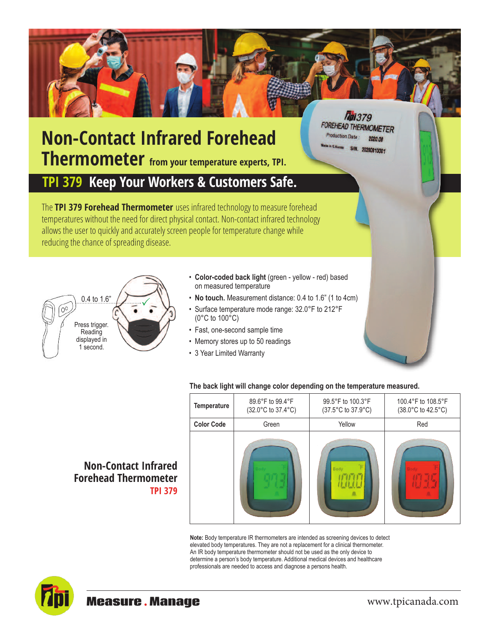## **Non-Contact Infrared Forehead Thermometer from your temperature experts, TPI.**

## **TPI 379 Keep Your Workers & Customers Safe.**

The **TPI 379 Forehead Thermometer** uses infrared technology to measure forehead temperatures without the need for direct physical contact. Non-contact infrared technology allows the user to quickly and accurately screen people for temperature change while reducing the chance of spreading disease.



- **Color-coded back light** (green yellow red) based on measured temperature
- **No touch.** Measurement distance: 0.4 to 1.6" (1 to 4cm)
- Surface temperature mode range: 32.0°F to 212°F (0°C to 100°C)
- Fast, one-second sample time
- Memory stores up to 50 readings
- 3 Year Limited Warranty

## **The back light will change color depending on the temperature measured.**

| <b>Temperature</b> | 89.6°F to 99.4°F<br>(32.0°C to 37.4°C) | 99.5°F to 100.3°F<br>(37.5°C to 37.9°C) | 100.4°F to 108.5°F<br>(38.0°C to 42.5°C) |
|--------------------|----------------------------------------|-----------------------------------------|------------------------------------------|
| <b>Color Code</b>  | Green                                  | Yellow                                  | Red                                      |
|                    |                                        | Body                                    |                                          |

*Mpi379* FOREHEAD THERMOMETER

> 2020.08 S/N. 20200813001

**Production Date** 

**Note:** Body temperature IR thermometers are intended as screening devices to detect elevated body temperatures. They are not a replacement for a clinical thermometer. An IR body temperature thermometer should not be used as the only device to determine a person's body temperature. Additional medical devices and healthcare professionals are needed to access and diagnose a persons health.



**TPI 379**

**Non-Contact Infrared Forehead Thermometer**